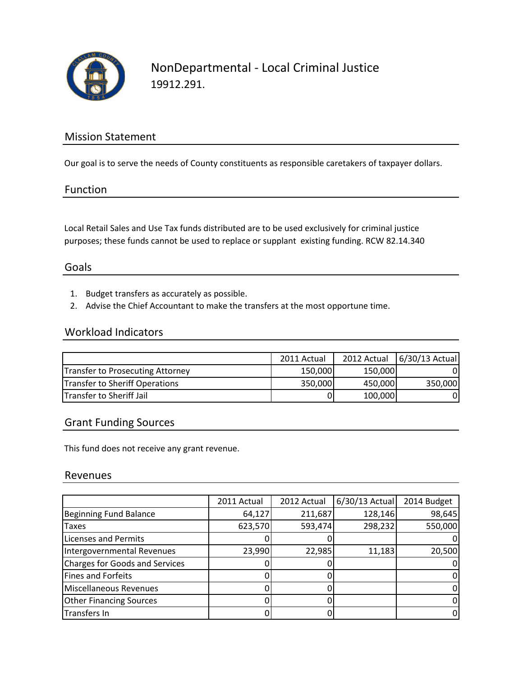

NonDepartmental - Local Criminal Justice 19912.291.

### Mission Statement

Our goal is to serve the needs of County constituents as responsible caretakers of taxpayer dollars.

### Function

Local Retail Sales and Use Tax funds distributed are to be used exclusively for criminal justice purposes; these funds cannot be used to replace or supplant existing funding. RCW 82.14.340

### Goals

- 1. Budget transfers as accurately as possible.
- 2. Advise the Chief Accountant to make the transfers at the most opportune time.

#### Workload Indicators

|                                  | 2011 Actual |         | 2012 Actual 6/30/13 Actual |
|----------------------------------|-------------|---------|----------------------------|
| Transfer to Prosecuting Attorney | 150,000     | 150,000 |                            |
| Transfer to Sheriff Operations   | 350,000     | 450,000 | 350,000                    |
| Transfer to Sheriff Jail         | 0           | 100,000 | 01                         |

#### Grant Funding Sources

This fund does not receive any grant revenue.

#### Revenues

|                                | 2011 Actual | 2012 Actual | $6/30/13$ Actual | 2014 Budget |
|--------------------------------|-------------|-------------|------------------|-------------|
| <b>Beginning Fund Balance</b>  | 64,127      | 211,687     | 128,146          | 98,645      |
| <b>Taxes</b>                   | 623,570     | 593,474     | 298,232          | 550,000     |
| <b>Licenses and Permits</b>    |             |             |                  |             |
| Intergovernmental Revenues     | 23,990      | 22,985      | 11,183           | 20,500      |
| Charges for Goods and Services |             |             |                  |             |
| Fines and Forfeits             |             |             |                  |             |
| Miscellaneous Revenues         |             |             |                  |             |
| <b>Other Financing Sources</b> |             |             |                  |             |
| <b>Transfers In</b>            |             |             |                  |             |